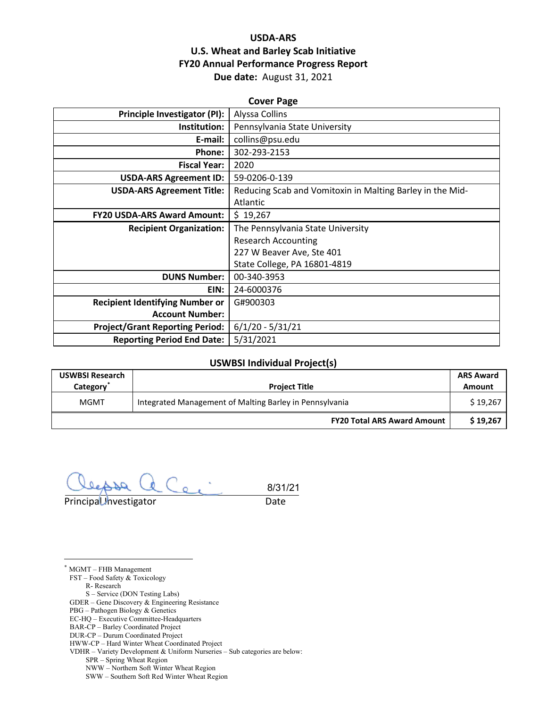## **USDA-ARS U.S. Wheat and Barley Scab Initiative FY20 Annual Performance Progress Report Due date:** August 31, 2021

| <b>Cover Page</b>                      |                                                           |  |  |  |
|----------------------------------------|-----------------------------------------------------------|--|--|--|
| <b>Principle Investigator (PI):</b>    | Alyssa Collins                                            |  |  |  |
| Institution:                           | Pennsylvania State University                             |  |  |  |
| E-mail:                                | collins@psu.edu                                           |  |  |  |
| Phone:                                 | 302-293-2153                                              |  |  |  |
| <b>Fiscal Year:</b>                    | 2020                                                      |  |  |  |
| <b>USDA-ARS Agreement ID:</b>          | 59-0206-0-139                                             |  |  |  |
| <b>USDA-ARS Agreement Title:</b>       | Reducing Scab and Vomitoxin in Malting Barley in the Mid- |  |  |  |
|                                        | Atlantic                                                  |  |  |  |
| <b>FY20 USDA-ARS Award Amount:</b>     | \$19,267                                                  |  |  |  |
| <b>Recipient Organization:</b>         | The Pennsylvania State University                         |  |  |  |
|                                        | <b>Research Accounting</b>                                |  |  |  |
|                                        | 227 W Beaver Ave, Ste 401                                 |  |  |  |
|                                        | State College, PA 16801-4819                              |  |  |  |
| <b>DUNS Number:</b>                    | 00-340-3953                                               |  |  |  |
| EIN:                                   | 24-6000376                                                |  |  |  |
| <b>Recipient Identifying Number or</b> | G#900303                                                  |  |  |  |
| <b>Account Number:</b>                 |                                                           |  |  |  |
| <b>Project/Grant Reporting Period:</b> | $6/1/20 - 5/31/21$                                        |  |  |  |
| <b>Reporting Period End Date:</b>      | 5/31/2021                                                 |  |  |  |

#### **USWBSI Individual Project(s)**

| <b>USWBSI Research</b><br>Category <sup>-</sup> | <b>Project Title</b>                                    |          |
|-------------------------------------------------|---------------------------------------------------------|----------|
| <b>MGMT</b>                                     | Integrated Management of Malting Barley in Pennsylvania |          |
|                                                 | <b>FY20 Total ARS Award Amount</b>                      | \$19.267 |

 $C_{\epsilon}$  $\overline{a}$ 8/31/21Principal Investigator **Date** 

<span id="page-0-0"></span>\* MGMT – FHB Management

FST – Food Safety & Toxicology R- Research S – Service (DON Testing Labs) GDER – Gene Discovery & Engineering Resistance

PBG – Pathogen Biology & Genetics EC-HQ – Executive Committee-Headquarters

BAR-CP – Barley Coordinated Project

DUR-CP – Durum Coordinated Project

HWW-CP – Hard Winter Wheat Coordinated Project

VDHR – Variety Development & Uniform Nurseries – Sub categories are below:

SPR – Spring Wheat Region

NWW – Northern Soft Winter Wheat Region

SWW – Southern Soft Red Winter Wheat Region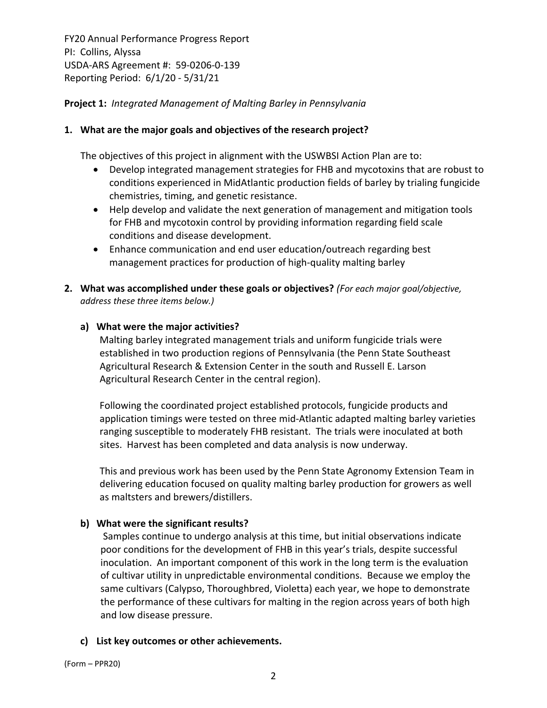## **Project 1:** *Integrated Management of Malting Barley in Pennsylvania*

## **1. What are the major goals and objectives of the research project?**

The objectives of this project in alignment with the USWBSI Action Plan are to:

- Develop integrated management strategies for FHB and mycotoxins that are robust to conditions experienced in MidAtlantic production fields of barley by trialing fungicide chemistries, timing, and genetic resistance.
- Help develop and validate the next generation of management and mitigation tools for FHB and mycotoxin control by providing information regarding field scale conditions and disease development.
- Enhance communication and end user education/outreach regarding best management practices for production of high‐quality malting barley
- **2. What was accomplished under these goals or objectives?** *(For each major goal/objective, address these three items below.)*

## **a) What were the major activities?**

Malting barley integrated management trials and uniform fungicide trials were established in two production regions of Pennsylvania (the Penn State Southeast Agricultural Research & Extension Center in the south and Russell E. Larson Agricultural Research Center in the central region).

Following the coordinated project established protocols, fungicide products and application timings were tested on three mid‐Atlantic adapted malting barley varieties ranging susceptible to moderately FHB resistant. The trials were inoculated at both sites. Harvest has been completed and data analysis is now underway.

This and previous work has been used by the Penn State Agronomy Extension Team in delivering education focused on quality malting barley production for growers as well as maltsters and brewers/distillers.

## **b) What were the significant results?**

Samples continue to undergo analysis at this time, but initial observations indicate poor conditions for the development of FHB in this year's trials, despite successful inoculation. An important component of this work in the long term is the evaluation of cultivar utility in unpredictable environmental conditions. Because we employ the same cultivars (Calypso, Thoroughbred, Violetta) each year, we hope to demonstrate the performance of these cultivars for malting in the region across years of both high and low disease pressure.

## **c) List key outcomes or other achievements.**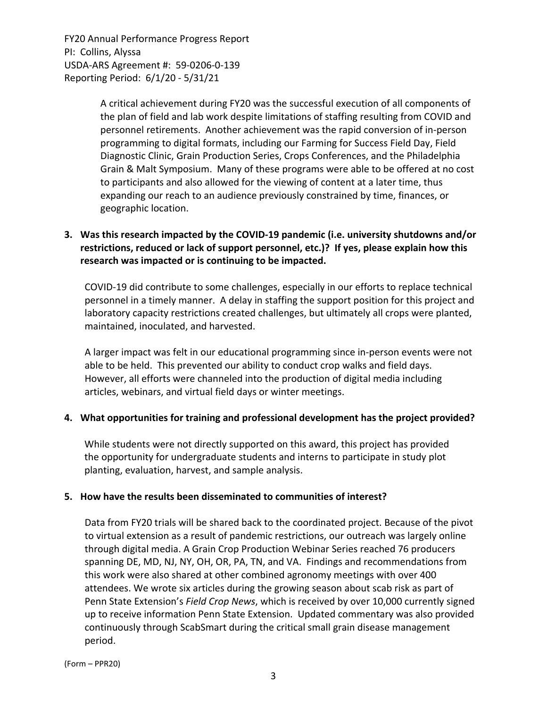> A critical achievement during FY20 was the successful execution of all components of the plan of field and lab work despite limitations of staffing resulting from COVID and personnel retirements. Another achievement was the rapid conversion of in‐person programming to digital formats, including our Farming for Success Field Day, Field Diagnostic Clinic, Grain Production Series, Crops Conferences, and the Philadelphia Grain & Malt Symposium. Many of these programs were able to be offered at no cost to participants and also allowed for the viewing of content at a later time, thus expanding our reach to an audience previously constrained by time, finances, or geographic location.

## **3. Was this research impacted by the COVID‐19 pandemic (i.e. university shutdowns and/or restrictions, reduced or lack of support personnel, etc.)? If yes, please explain how this research was impacted or is continuing to be impacted.**

COVID‐19 did contribute to some challenges, especially in our efforts to replace technical personnel in a timely manner. A delay in staffing the support position for this project and laboratory capacity restrictions created challenges, but ultimately all crops were planted, maintained, inoculated, and harvested.

A larger impact was felt in our educational programming since in‐person events were not able to be held. This prevented our ability to conduct crop walks and field days. However, all efforts were channeled into the production of digital media including articles, webinars, and virtual field days or winter meetings.

## **4. What opportunities for training and professional development has the project provided?**

While students were not directly supported on this award, this project has provided the opportunity for undergraduate students and interns to participate in study plot planting, evaluation, harvest, and sample analysis.

## **5. How have the results been disseminated to communities of interest?**

Data from FY20 trials will be shared back to the coordinated project. Because of the pivot to virtual extension as a result of pandemic restrictions, our outreach was largely online through digital media. A Grain Crop Production Webinar Series reached 76 producers spanning DE, MD, NJ, NY, OH, OR, PA, TN, and VA. Findings and recommendations from this work were also shared at other combined agronomy meetings with over 400 attendees. We wrote six articles during the growing season about scab risk as part of Penn State Extension's *Field Crop News*, which is received by over 10,000 currently signed up to receive information Penn State Extension. Updated commentary was also provided continuously through ScabSmart during the critical small grain disease management period.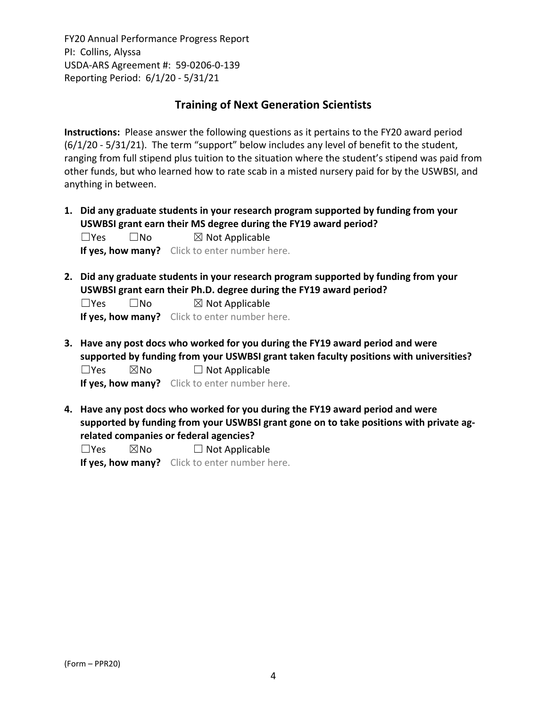## **Training of Next Generation Scientists**

**Instructions:** Please answer the following questions as it pertains to the FY20 award period (6/1/20 ‐ 5/31/21). The term "support" below includes any level of benefit to the student, ranging from full stipend plus tuition to the situation where the student's stipend was paid from other funds, but who learned how to rate scab in a misted nursery paid for by the USWBSI, and anything in between.

**1. Did any graduate students in your research program supported by funding from your USWBSI grant earn their MS degree during the FY19 award period?**  $\square$ Yes  $\square$ No  $\square$  Not Applicable

**If yes, how many?** Click to enter number here.

**2. Did any graduate students in your research program supported by funding from your USWBSI grant earn their Ph.D. degree during the FY19 award period?**

 $\square$ Yes  $\square$ No  $\square$  Not Applicable

**If yes, how many?** Click to enter number here.

**3. Have any post docs who worked for you during the FY19 award period and were supported by funding from your USWBSI grant taken faculty positions with universities?**  $\square$ Yes  $\square$ No  $\square$  Not Applicable

**If yes, how many?** Click to enter number here.

**4. Have any post docs who worked for you during the FY19 award period and were supported by funding from your USWBSI grant gone on to take positions with private ag‐ related companies or federal agencies?**

 $\square$ Yes  $\square$ No  $\square$  Not Applicable

**If yes, how many?** Click to enter number here.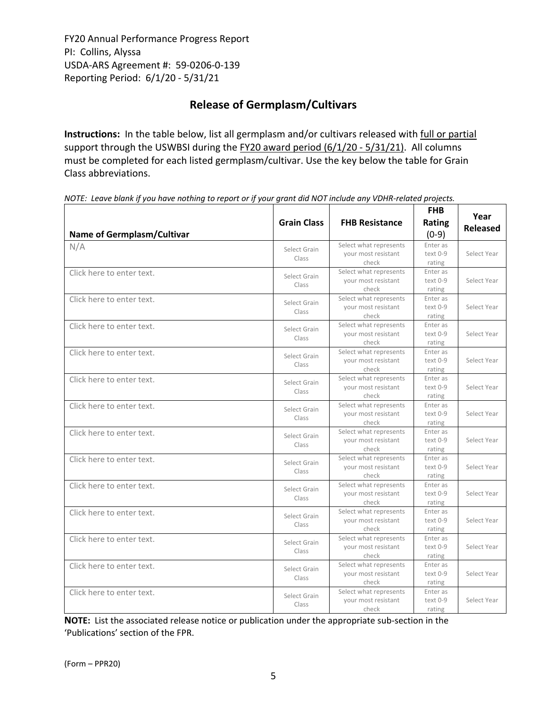# **Release of Germplasm/Cultivars**

**Instructions:** In the table below, list all germplasm and/or cultivars released with full or partial support through the USWBSI during the FY20 award period (6/1/20 - 5/31/21). All columns must be completed for each listed germplasm/cultivar. Use the key below the table for Grain Class abbreviations. 

| <b>Name of Germplasm/Cultivar</b> | <b>Grain Class</b>    | <b>FHB Resistance</b>                                  | <b>FHB</b><br>Rating<br>$(0-9)$  | Year<br><b>Released</b> |
|-----------------------------------|-----------------------|--------------------------------------------------------|----------------------------------|-------------------------|
| N/A                               | Select Grain<br>Class | Select what represents<br>your most resistant<br>check | Enter as<br>text 0-9<br>rating   | Select Year             |
| Click here to enter text.         | Select Grain<br>Class | Select what represents<br>your most resistant<br>check | Enter as<br>text 0-9<br>rating   | Select Year             |
| Click here to enter text.         | Select Grain<br>Class | Select what represents<br>your most resistant<br>check | Enter as<br>text 0-9<br>rating   | Select Year             |
| Click here to enter text.         | Select Grain<br>Class | Select what represents<br>your most resistant<br>check | Enter as<br>$text 0-9$<br>rating | Select Year             |
| Click here to enter text.         | Select Grain<br>Class | Select what represents<br>your most resistant<br>check | Enter as<br>text 0-9<br>rating   | Select Year             |
| Click here to enter text.         | Select Grain<br>Class | Select what represents<br>your most resistant<br>check | Enter as<br>text 0-9<br>rating   | Select Year             |
| Click here to enter text.         | Select Grain<br>Class | Select what represents<br>your most resistant<br>check | Enter as<br>text 0-9<br>rating   | Select Year             |
| Click here to enter text.         | Select Grain<br>Class | Select what represents<br>your most resistant<br>check | Enter as<br>text 0-9<br>rating   | Select Year             |
| Click here to enter text.         | Select Grain<br>Class | Select what represents<br>your most resistant<br>check | Enter as<br>text 0-9<br>rating   | Select Year             |
| Click here to enter text.         | Select Grain<br>Class | Select what represents<br>your most resistant<br>check | Enter as<br>text 0-9<br>rating   | Select Year             |
| Click here to enter text.         | Select Grain<br>Class | Select what represents<br>vour most resistant<br>check | Enter as<br>$text 0-9$<br>rating | Select Year             |
| Click here to enter text.         | Select Grain<br>Class | Select what represents<br>your most resistant<br>check | Enter as<br>text 0-9<br>rating   | Select Year             |
| Click here to enter text.         | Select Grain<br>Class | Select what represents<br>your most resistant<br>check | Enter as<br>text 0-9<br>rating   | Select Year             |
| Click here to enter text.         | Select Grain<br>Class | Select what represents<br>your most resistant<br>check | Enter as<br>text 0-9<br>rating   | Select Year             |

NOTE: Leave blank if you have nothing to report or if your grant did NOT include any VDHR-related projects.

**NOTE:** List the associated release notice or publication under the appropriate sub-section in the 'Publications' section of the FPR.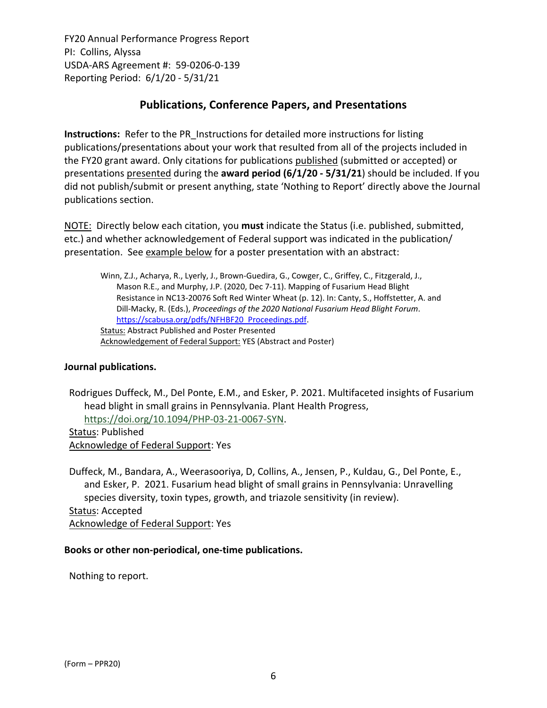# **Publications, Conference Papers, and Presentations**

**Instructions:** Refer to the PR\_Instructions for detailed more instructions for listing publications/presentations about your work that resulted from all of the projects included in the FY20 grant award. Only citations for publications published (submitted or accepted) or presentations presented during the **award period (6/1/20 ‐ 5/31/21**) should be included. If you did not publish/submit or present anything, state 'Nothing to Report' directly above the Journal publications section.

NOTE: Directly below each citation, you **must** indicate the Status (i.e. published, submitted, etc.) and whether acknowledgement of Federal support was indicated in the publication/ presentation. See example below for a poster presentation with an abstract:

Winn, Z.J., Acharya, R., Lyerly, J., Brown‐Guedira, G., Cowger, C., Griffey, C., Fitzgerald, J., Mason R.E., and Murphy, J.P. (2020, Dec 7‐11). Mapping of Fusarium Head Blight Resistance in NC13‐20076 Soft Red Winter Wheat (p. 12). In: Canty, S., Hoffstetter, A. and Dill‐Macky, R. (Eds.), *Proceedings of the 2020 National [Fusarium](https://scabusa.org/pdfs/NFHBF20_Proceedings.pdf) Head Blight Forum*. https://scabusa.org/pdfs/NFHBF20\_Proceedings.pdf. Status: Abstract Published and Poster Presented Acknowledgement of Federal Support: YES (Abstract and Poster)

## **Journal publications.**

Rodrigues Duffeck, M., Del Ponte, E.M., and Esker, P. 2021. Multifaceted insights of Fusarium head blight in small grains in Pennsylvania. Plant Health Progress, [https://doi.org/10.1094/PHP](https://doi.org/10.1094/PHP-03-21-0067-SYN)‐03‐21‐0067‐SYN.

Status: Published Acknowledge of Federal Support: Yes

Duffeck, M., Bandara, A., Weerasooriya, D, Collins, A., Jensen, P., Kuldau, G., Del Ponte, E., and Esker, P. 2021. Fusarium head blight of small grains in Pennsylvania: Unravelling species diversity, toxin types, growth, and triazole sensitivity (in review). Status: Accepted Acknowledge of Federal Support: Yes

## **Books or other non‐periodical, one‐time publications.**

Nothing to report.